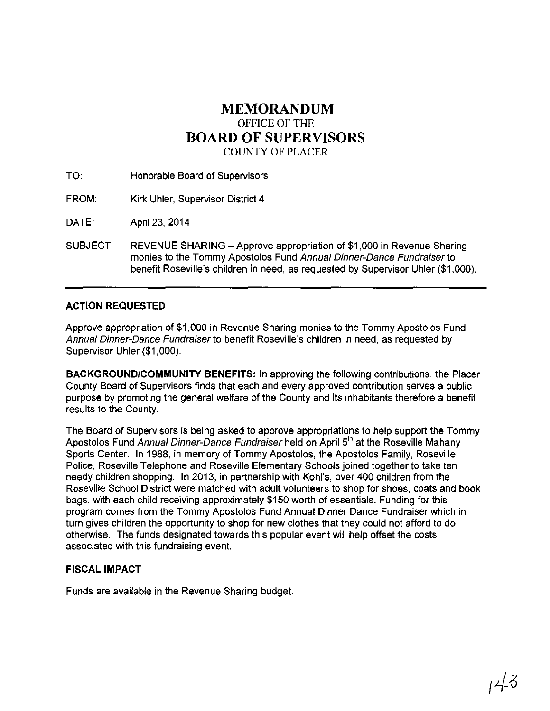### **MEMORANDUM**  OFFICE OF THE **BOARD OF SUPERVISORS**  COUNTY OF PLACER

TO: Honorable Board of Supervisors

FROM: Kirk Uhler, Supervisor District 4

DATE: April23, 2014

SUBJECT: REVENUE SHARING- Approve appropriation of \$1 ,000 in Revenue Sharing monies to the Tommy Apostolos Fund Annual Dinner-Dance Fundraiserto benefit Roseville's children in need, as requested by Supervisor Uhler (\$1 ,000).

#### **ACTION REQUESTED**

Approve appropriation of \$1,000 in Revenue Sharing monies to the Tommy Apostolos Fund Annual Dinner-Dance Fundraiser to benefit Roseville's children in need, as requested by Supervisor Uhler (\$1,000).

**BACKGROUND/COMMUNITY BENEFITS:** In approving the following contributions, the Placer County Board of Supervisors finds that each and every approved contribution serves a public purpose by promoting the general welfare of the County and its inhabitants therefore a benefit results to the County.

The Board of Supervisors is being asked to approve appropriations to help support the Tommy Apostolos Fund *Annual Dinner-Dance Fundraiser* held on April 5<sup>th</sup> at the Roseville Mahany Sports Center. In 1988, in memory of Tommy Apostolos, the Apostolos Family, Roseville Police, Roseville Telephone and Roseville Elementary Schools joined together to take ten needy children shopping. In 2013, in partnership with Kohl's, over 400 children from the Roseville School District were matched with adult volunteers to shop for shoes, coats and book bags, with each child receiving approximately \$150 worth of essentials. Funding for this program comes from the Tommy Apostolos Fund Annual Dinner Dance Fundraiser which in turn gives children the opportunity to shop for new clothes that they could not afford to do otherwise. The funds designated towards this popular event will help offset the costs associated with this fundraising event.

#### **FISCAL IMPACT**

Funds are available in the Revenue Sharing budget.